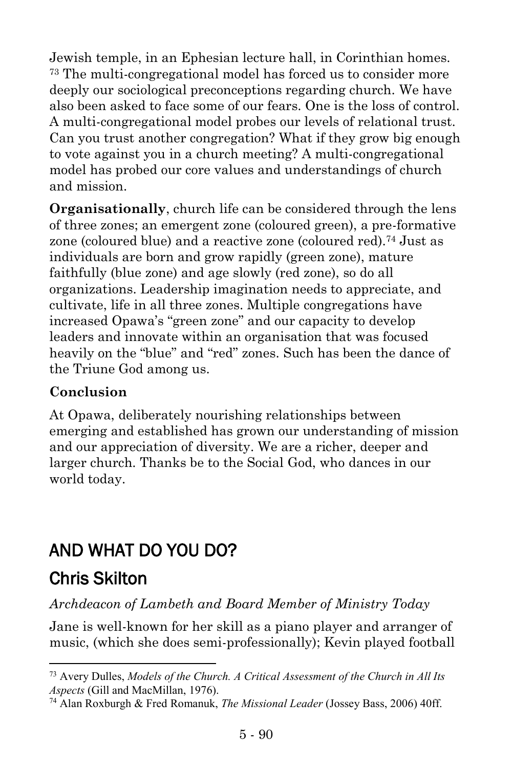Jewish temple, in an Ephesian lecture hall, in Corinthian homes. <sup>73</sup> The multi-congregational model has forced us to consider more deeply our sociological preconceptions regarding church. We have also been asked to face some of our fears. One is the loss of control. A multi-congregational model probes our levels of relational trust. Can you trust another congregation? What if they grow big enough to vote against you in a church meeting? A multi-congregational model has probed our core values and understandings of church and mission.

**Organisationally**, church life can be considered through the lens of three zones; an emergent zone (coloured green), a pre-formative zone (coloured blue) and a reactive zone (coloured red).<sup>74</sup> Just as individuals are born and grow rapidly (green zone), mature faithfully (blue zone) and age slowly (red zone), so do all organizations. Leadership imagination needs to appreciate, and cultivate, life in all three zones. Multiple congregations have increased Opawa's "green zone" and our capacity to develop leaders and innovate within an organisation that was focused heavily on the "blue" and "red" zones. Such has been the dance of the Triune God among us.

## **Conclusion**

At Opawa, deliberately nourishing relationships between emerging and established has grown our understanding of mission and our appreciation of diversity. We are a richer, deeper and larger church. Thanks be to the Social God, who dances in our world today.

## AND WHAT DO YOU DO?

## [Chris Skilton](https://www.ministrytoday.org.uk/magazine/authors/292/)

 $\overline{a}$ 

## *Archdeacon of Lambeth and Board Member of Ministry Today*

Jane is well-known for her skill as a piano player and arranger of music, (which she does semi-professionally); Kevin played football

<sup>73</sup> Avery Dulles, *Models of the Church. A Critical Assessment of the Church in All Its Aspects* (Gill and MacMillan, 1976).

<sup>74</sup> Alan Roxburgh & Fred Romanuk, *The Missional Leader* (Jossey Bass, 2006) 40ff.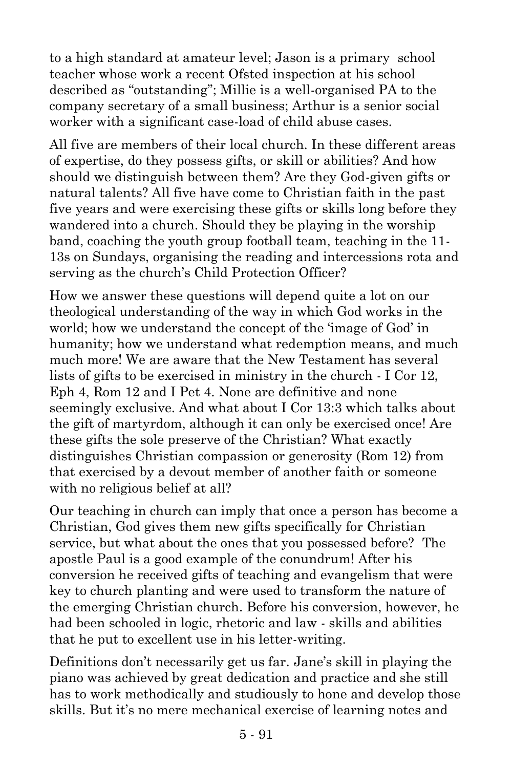to a high standard at amateur level; Jason is a primary school teacher whose work a recent Ofsted inspection at his school described as "outstanding"; Millie is a well-organised PA to the company secretary of a small business; Arthur is a senior social worker with a significant case-load of child abuse cases.

All five are members of their local church. In these different areas of expertise, do they possess gifts, or skill or abilities? And how should we distinguish between them? Are they God-given gifts or natural talents? All five have come to Christian faith in the past five years and were exercising these gifts or skills long before they wandered into a church. Should they be playing in the worship band, coaching the youth group football team, teaching in the 11- 13s on Sundays, organising the reading and intercessions rota and serving as the church's Child Protection Officer?

How we answer these questions will depend quite a lot on our theological understanding of the way in which God works in the world; how we understand the concept of the 'image of God' in humanity; how we understand what redemption means, and much much more! We are aware that the New Testament has several lists of gifts to be exercised in ministry in the church - I Cor 12, Eph 4, Rom 12 and I Pet 4. None are definitive and none seemingly exclusive. And what about I Cor 13:3 which talks about the gift of martyrdom, although it can only be exercised once! Are these gifts the sole preserve of the Christian? What exactly distinguishes Christian compassion or generosity (Rom 12) from that exercised by a devout member of another faith or someone with no religious belief at all?

Our teaching in church can imply that once a person has become a Christian, God gives them new gifts specifically for Christian service, but what about the ones that you possessed before? The apostle Paul is a good example of the conundrum! After his conversion he received gifts of teaching and evangelism that were key to church planting and were used to transform the nature of the emerging Christian church. Before his conversion, however, he had been schooled in logic, rhetoric and law - skills and abilities that he put to excellent use in his letter-writing.

Definitions don't necessarily get us far. Jane's skill in playing the piano was achieved by great dedication and practice and she still has to work methodically and studiously to hone and develop those skills. But it's no mere mechanical exercise of learning notes and